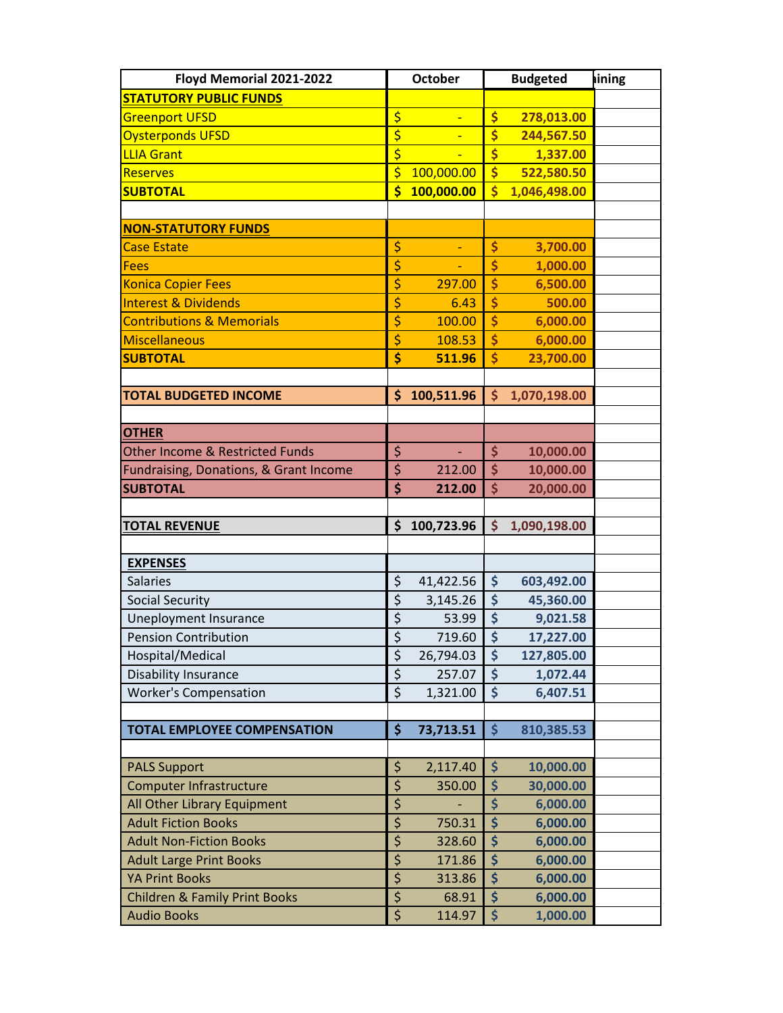| Floyd Memorial 2021-2022                   | <b>October</b>                      |            | <b>Budgeted</b>                 |              | lining |
|--------------------------------------------|-------------------------------------|------------|---------------------------------|--------------|--------|
| <b>STATUTORY PUBLIC FUNDS</b>              |                                     |            |                                 |              |        |
| <b>Greenport UFSD</b>                      | \$                                  |            | \$                              | 278,013.00   |        |
| <b>Oysterponds UFSD</b>                    | \$                                  |            | \$                              | 244,567.50   |        |
| <b>LLIA Grant</b>                          | $\overline{\boldsymbol{\zeta}}$     |            | \$                              | 1,337.00     |        |
| <b>Reserves</b>                            | \$                                  | 100,000.00 | $\overline{\mathsf{S}}$         | 522,580.50   |        |
| <b>SUBTOTAL</b>                            | \$                                  | 100,000.00 | $\overline{\mathsf{s}}$         | 1,046,498.00 |        |
|                                            |                                     |            |                                 |              |        |
| <b>NON-STATUTORY FUNDS</b>                 |                                     |            |                                 |              |        |
| <b>Case Estate</b>                         | \$                                  |            | \$                              | 3,700.00     |        |
| <b>Fees</b>                                | \$                                  |            | \$                              | 1,000.00     |        |
| <b>Konica Copier Fees</b>                  | \$                                  | 297.00     | \$                              | 6,500.00     |        |
| <b>Interest &amp; Dividends</b>            | \$                                  | 6.43       | \$                              | 500.00       |        |
| <b>Contributions &amp; Memorials</b>       | \$                                  | 100.00     | \$                              | 6,000.00     |        |
| Miscellaneous                              | \$                                  | 108.53     | \$                              | 6,000.00     |        |
| <b>SUBTOTAL</b>                            | \$                                  | 511.96     | \$                              | 23,700.00    |        |
|                                            |                                     |            |                                 |              |        |
| <b>TOTAL BUDGETED INCOME</b>               | \$                                  | 100,511.96 | \$                              | 1,070,198.00 |        |
|                                            |                                     |            |                                 |              |        |
| <b>OTHER</b>                               |                                     |            |                                 |              |        |
| <b>Other Income &amp; Restricted Funds</b> | \$                                  | ÷,         | \$                              | 10,000.00    |        |
| Fundraising, Donations, & Grant Income     | \$                                  | 212.00     | \$                              | 10,000.00    |        |
| <b>SUBTOTAL</b>                            | \$                                  | 212.00     | \$                              | 20,000.00    |        |
|                                            |                                     |            |                                 |              |        |
| <b>TOTAL REVENUE</b>                       | \$                                  | 100,723.96 | \$                              | 1,090,198.00 |        |
|                                            |                                     |            |                                 |              |        |
| <b>EXPENSES</b>                            |                                     |            |                                 |              |        |
| <b>Salaries</b>                            | \$                                  | 41,422.56  | \$                              | 603,492.00   |        |
| <b>Social Security</b>                     | $\overline{\xi}$                    | 3,145.26   | $\overline{\boldsymbol{\zeta}}$ | 45,360.00    |        |
| Uneployment Insurance                      | \$                                  | 53.99      | \$                              | 9,021.58     |        |
| <b>Pension Contribution</b>                | $\overline{\xi}$                    | 719.60     | $\dot{\mathsf{S}}$              | 17,227.00    |        |
| Hospital/Medical                           | \$                                  | 26,794.03  | \$                              | 127,805.00   |        |
| <b>Disability Insurance</b>                | $\overline{\xi}$                    | 257.07     | \$                              | 1,072.44     |        |
| <b>Worker's Compensation</b>               | $\overline{\xi}$                    | 1,321.00   | \$                              | 6,407.51     |        |
|                                            |                                     |            |                                 |              |        |
| <b>TOTAL EMPLOYEE COMPENSATION</b>         | \$                                  | 73,713.51  | $\mathsf{\dot{S}}$              | 810,385.53   |        |
|                                            |                                     |            |                                 |              |        |
| <b>PALS Support</b>                        | \$                                  | 2,117.40   | \$                              | 10,000.00    |        |
| <b>Computer Infrastructure</b>             | \$                                  | 350.00     | \$                              | 30,000.00    |        |
| All Other Library Equipment                | \$                                  |            | \$                              | 6,000.00     |        |
| <b>Adult Fiction Books</b>                 | $\overline{\boldsymbol{\varsigma}}$ | 750.31     | $\overline{\boldsymbol{\zeta}}$ | 6,000.00     |        |
| <b>Adult Non-Fiction Books</b>             | \$                                  | 328.60     | \$                              | 6,000.00     |        |
| <b>Adult Large Print Books</b>             | \$                                  | 171.86     | \$                              | 6,000.00     |        |
| <b>YA Print Books</b>                      | \$<br>$\overline{\xi}$              | 313.86     | \$<br>\$                        | 6,000.00     |        |
| <b>Children &amp; Family Print Books</b>   |                                     | 68.91      |                                 | 6,000.00     |        |
| <b>Audio Books</b>                         | \$                                  | 114.97     | \$                              | 1,000.00     |        |